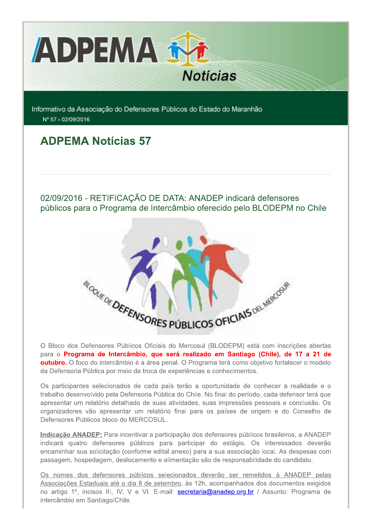

Informativo da Associação do Defensores Públicos do Estado do Maranhão Nº 57 - 02/09/2016

# **ADPEMA Notícias 57**

02/09/2016 - RETIFICAÇÃO DE DATA: ANADEP indicará defensores públicos para o Programa de Intercâmbio oferecido pelo BLODEPM no Chile



O Bloco dos Defensores Públicos Oficiais do Mercosul (BLODEPM) está com inscrições abertas para o Programa de Intercâmbio, que será realizado em Santiago (Chile), de 17 a 21 de **outubro.** O foco do intercâmbio é a área penal. O Programa terá como objetivo fortalecer o modelo da Defensoria Pública por meio da troca de experiências e conhecimentos.

Os participantes selecionados de cada país terão a oportunidade de conhecer a realidade e o trabalho desenvolvido pela Defensoria Pública do Chile. No final do período, cada defensor terá que apresentar um relatório detalhado de suas atividades, suas impressões pessoais e conclusão. Os organizadores vão apresentar um relatório final para os países de origem e do Conselho de Defensores Públicos bloco do MERCOSUL.

Indicação ANADEP: Para incentivar a participação dos defensores públicos brasileiros, a ANADEP indicará quatro defensores públicos para participar do estágio. Os interessados deverão encaminhar sua solicitação (conforme edital anexo) para a sua associação local. As despesas com passagem, hospedagem, deslocamento e alimentação são de responsabilidade do candidato.

Os nomes dos defensores públicos selecionados deverão ser remetidos à ANADEP pelas Associações Estaduais até o dia 8 de setembro, às 12h, acompanhados dos documentos exigidos no artigo 1º, incisos III, IV, V e VI. E-mail: **secretaria@anadep.org.br** / Assunto: Programa de intercâmbio em Santiago/Chile.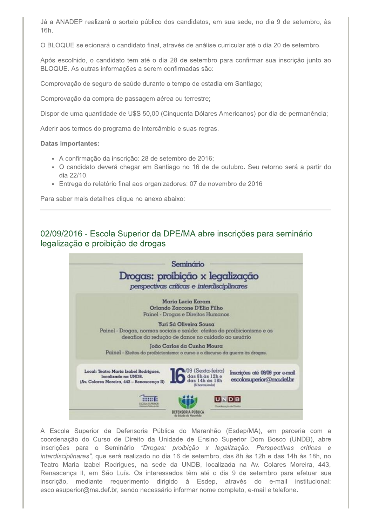Já a ANADEP realizará o sorteio público dos candidatos, em sua sede, no dia 9 de setembro, às 16h.

O BLOQUE selecionará o candidato final, através de análise curricular até o dia 20 de setembro.

Após escolhido, o candidato tem até o dia 28 de setembro para confirmar sua inscrição junto ao BLOQUE. As outras informações a serem confirmadas são:

Comprovação de seguro de saúde durante o tempo de estadia em Santiago;

Comprovação da compra de passagem aérea ou terrestre;

Dispor de uma quantidade de U\$S 50.00 (Cinquenta Dólares Americanos) por dia de permanência:

Aderir aos termos do programa de intercâmbio e suas regras.

#### **Datas importantes:**

- · A confirmação da inscrição: 28 de setembro de 2016;
- · O candidato deverá chegar em Santiago no 16 de de outubro. Seu retorno será a partir do dia 22/10.
- Entrega do relatório final aos organizadores: 07 de novembro de 2016

Para saber mais detalhes clique no anexo abaixo:

# 02/09/2016 - Escola Superior da DPE/MA abre inscrições para seminário legalização e proibição de drogas



A Escola Superior da Defensoria Pública do Maranhão (Esdep/MA), em parceria com a coordenação do Curso de Direito da Unidade de Ensino Superior Dom Bosco (UNDB), abre inscrições para o Seminário "Drogas: proibição x legalização. Perspectivas críticas e interdisciplinares", que será realizado no dia 16 de setembro, das 8h às 12h e das 14h às 18h, no Teatro Maria Izabel Rodrigues, na sede da UNDB, localizada na Av. Colares Moreira, 443, Renascença II, em São Luís. Os interessados têm até o dia 9 de setembro para efetuar sua inscrição, mediante requerimento dirigido à Esdep, através do e-mail institucional: escolasuperior@ma.def.br, sendo necessário informar nome completo, e-mail e telefone.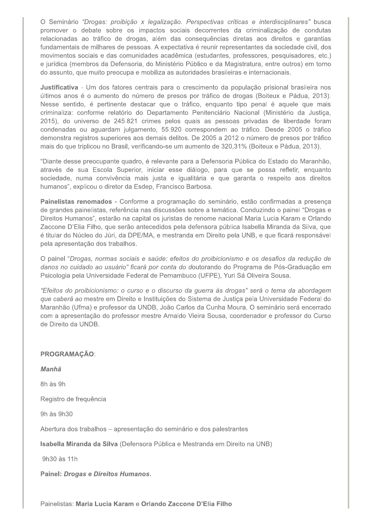O Seminário "Drogas: proibição x legalização. Perspectivas críticas e interdisciplinares" busca promover o debate sobre os impactos sociais decorrentes da criminalização de condutas relacionadas ao tráfico de drogas, além das consequências diretas aos direitos e garantias fundamentais de milhares de pessoas. A expectativa é reunir representantes da sociedade civil, dos movimentos sociais e das comunidades acadêmica (estudantes, professores, pesquisadores, etc.) e jurídica (membros da Defensoria, do Ministério Público e da Magistratura, entre outros) em torno do assunto, que muito preocupa e mobiliza as autoridades brasileiras e internacionais.

Justificativa - Um dos fatores centrais para o crescimento da população prisional brasileira nos últimos anos é o aumento do número de presos por tráfico de drogas (Boiteux e Pádua, 2013). Nesse sentido, é pertinente destacar que o tráfico, enquanto tipo penal é aquele que mais criminaliza: conforme relatório do Departamento Penitenciário Nacional (Ministério da Justiça, 2015), do universo de 245.821 crimes pelos quais as pessoas privadas de liberdade foram condenadas ou aguardam julgamento, 55.920 correspondem ao tráfico. Desde 2005 o tráfico demonstra registros superiores aos demais delitos. De 2005 a 2012 o número de presos por tráfico mais do que triplicou no Brasil, verificando-se um aumento de 320,31% (Boiteux e Pádua, 2013).

"Diante desse preocupante quadro, é relevante para a Defensoria Pública do Estado do Maranhão, através de sua Escola Superior, iniciar esse diálogo, para que se possa refletir, enquanto sociedade, numa convivência mais justa e igualitária e que garanta o respeito aos direitos humanos", explicou o diretor da Esdep, Francisco Barbosa.

Painelistas renomados - Conforme a programação do seminário, estão confirmadas a presença de grandes painelistas, referência nas discussões sobre a temática. Conduzindo o painel "Drogas e Direitos Humanos", estarão na capital os juristas de renome nacional Maria Lucia Karam e Orlando Zaccone D'Elia Filho, que serão antecedidos pela defensora pública Isabella Miranda da Silva, que é titular do Núcleo do Júri, da DPE/MA, e mestranda em Direito pela UNB, e que ficará responsável pela apresentação dos trabalhos.

O painel "Drogas, normas sociais e saúde: efeitos do proibicionismo e os desafios da redução de danos no cuidado ao usuário" ficará por conta do doutorando do Programa de Pós-Graduação em Psicologia pela Universidade Federal de Pernambuco (UFPE), Yuri Sá Oliveira Sousa.

"Efeitos do proibicionismo: o curso e o discurso da guerra às drogas" será o tema da abordagem que caberá ao mestre em Direito e Instituições do Sistema de Justica pela Universidade Federal do Maranhão (Ufma) e professor da UNDB, João Carlos da Cunha Moura. O seminário será encerrado com a apresentação do professor mestre Arnaldo Vieira Sousa, coordenador e professor do Curso de Direito da UNDB.

#### **PROGRAMAÇÃO:**

Manhã

8h às 9h

Registro de frequência

9h às 9h30

Abertura dos trabalhos - apresentação do seminário e dos palestrantes

Isabella Miranda da Silva (Defensora Pública e Mestranda em Direito na UNB)

9h30 às 11h

Painel: Drogas e Direitos Humanos.

Painelistas: Maria Lucia Karam e Orlando Zaccone D'Elia Filho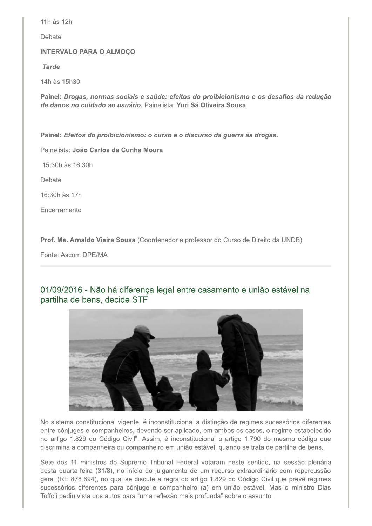11h às 12h

Debate

**INTERVALO PARA O ALMOÇO** 

**Tarde** 

14h às 15h30

Painel: Drogas, normas sociais e saúde: efeitos do proibicionismo e os desafios da redução de danos no cuidado ao usuário. Painelista: Yuri Sá Oliveira Sousa

Painel: Efeitos do proibicionismo: o curso e o discurso da guerra às drogas.

Painelista: João Carlos da Cunha Moura

15:30h às 16:30h

Debate

16:30h às 17h

Encerramento

Prof. Me. Arnaldo Vieira Sousa (Coordenador e professor do Curso de Direito da UNDB)

Fonte: Ascom DPE/MA

# 01/09/2016 - Não há diferença legal entre casamento e união estável na partilha de bens, decide STF



No sistema constitucional vigente, é inconstitucional a distinção de regimes sucessórios diferentes entre cônjuges e companheiros, devendo ser aplicado, em ambos os casos, o regime estabelecido no artigo 1.829 do Código Civil". Assim, é inconstitucional o artigo 1.790 do mesmo código que discrimina a companheira ou companheiro em união estável, quando se trata de partilha de bens.

Sete dos 11 ministros do Supremo Tribunal Federal votaram neste sentido, na sessão plenária desta quarta-feira (31/8), no início do julgamento de um recurso extraordinário com repercussão geral (RE 878.694), no qual se discute a regra do artigo 1.829 do Código Civil que prevê regimes sucessórios diferentes para cônjuge e companheiro (a) em união estável. Mas o ministro Dias Toffoli pediu vista dos autos para "uma reflexão mais profunda" sobre o assunto.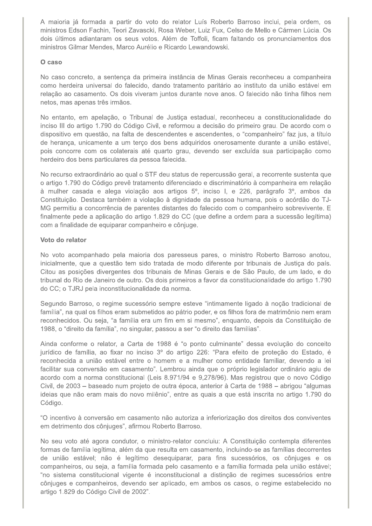A maioria já formada a partir do voto do relator Luís Roberto Barroso inclui, pela ordem, os ministros Edson Fachin, Teori Zavascki, Rosa Weber, Luiz Fux, Celso de Mello e Cármen Lúcia. Os dois últimos adiantaram os seus votos. Além de Toffoli, ficam faltando os pronunciamentos dos ministros Gilmar Mendes, Marco Aurélio e Ricardo Lewandowski.

### O caso

No caso concreto, a sentença da primeira instância de Minas Gerais reconheceu a companheira como herdeira universal do falecido, dando tratamento paritário ao instituto da união estável em relação ao casamento. Os dois viveram juntos durante nove anos. O falecido não tinha filhos nem netos, mas apenas três irmãos.

No entanto, em apelação, o Tribunal de Justiça estadual, reconheceu a constitucionalidade do inciso III do artigo 1.790 do Código Civil, e reformou a decisão do primeiro grau. De acordo com o dispositivo em questão, na falta de descendentes e ascendentes, o "companheiro" faz jus, a título de herança, unicamente a um terço dos bens adquiridos onerosamente durante a união estável, pois concorre com os colaterais até quarto grau, devendo ser excluída sua participação como herdeiro dos bens particulares da pessoa falecida.

No recurso extraordinário ao qual o STF deu status de repercussão geral, a recorrente sustenta que o artigo 1.790 do Código prevê tratamento diferenciado e discriminatório à companheira em relação à mulher casada e alega violação aos artigos 5º, inciso I, e 226, parágrafo 3º, ambos da Constituição. Destaca também a violação à dignidade da pessoa humana, pois o acórdão do TJ-MG permitiu a concorrência de parentes distantes do falecido com o companheiro sobrevivente. E finalmente pede a aplicação do artigo 1.829 do CC (que define a ordem para a sucessão legítima) com a finalidade de equiparar companheiro e cônjuge.

### Voto do relator

No voto acompanhado pela maioria dos paresseus pares, o ministro Roberto Barroso anotou, inicialmente, que a questão tem sido tratada de modo diferente por tribunais de Justiça do país. Citou as posições divergentes dos tribunais de Minas Gerais e de São Paulo, de um lado, e do tribunal do Rio de Janeiro de outro. Os dois primeiros a favor da constitucionalidade do artigo 1.790 do CC; o TJRJ pela inconstitucionalidade da norma.

Segundo Barroso, o regime sucessório sempre esteve "intimamente ligado à noção tradicional de família", na qual os filhos eram submetidos ao pátrio poder, e os filhos fora de matrimônio nem eram reconhecidos. Ou seja, "a família era um fim em si mesmo", enquanto, depois da Constituição de 1988, o "direito da família", no singular, passou a ser "o direito das famílias".

Ainda conforme o relator, a Carta de 1988 é "o ponto culminante" dessa evolução do conceito jurídico de família, ao fixar no inciso 3º do artigo 226: "Para efeito de proteção do Estado, é reconhecida a união estável entre o homem e a mulher como entidade familiar, devendo a lei facilitar sua conversão em casamento". Lembrou ainda que o próprio legislador ordinário agiu de acordo com a norma constitucional (Leis 8.971/94 e 9,278/96). Mas registrou que o novo Código Civil, de 2003 – baseado num projeto de outra época, anterior à Carta de 1988 – abrigou "algumas ideias que não eram mais do novo milênio", entre as quais a que está inscrita no artigo 1.790 do Código.

"O incentivo à conversão em casamento não autoriza a inferiorização dos direitos dos conviventes em detrimento dos cônjuges", afirmou Roberto Barroso.

No seu voto até agora condutor, o ministro-relator concluiu: A Constituição contempla diferentes formas de família legítima, além da que resulta em casamento, incluindo-se as famílias decorrentes de união estável; não é legítimo desequiparar, para fins sucessórios, os cônjuges e os companheiros, ou seja, a família formada pelo casamento e a família formada pela união estável; "no sistema constitucional vigente é inconstitucional a distinção de regimes sucessórios entre cônjuges e companheiros, devendo ser aplicado, em ambos os casos, o regime estabelecido no artigo 1.829 do Código Civil de 2002".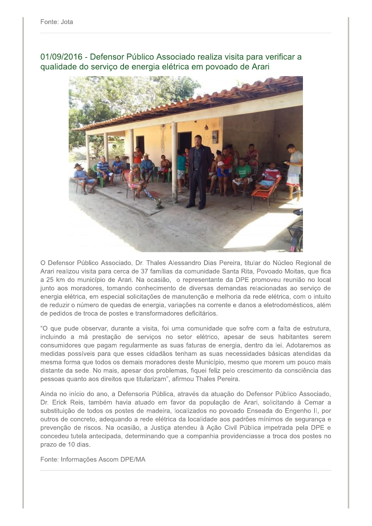01/09/2016 - Defensor Público Associado realiza visita para verificar a qualidade do serviço de energia elétrica em povoado de Arari



O Defensor Público Associado, Dr. Thales Alessandro Dias Pereira, titular do Núcleo Regional de Arari realizou visita para cerca de 37 famílias da comunidade Santa Rita, Povoado Moitas, que fica a 25 km do município de Arari. Na ocasião, o representante da DPE promoveu reunião no local junto aos moradores, tomando conhecimento de diversas demandas relacionadas ao serviço de energia elétrica, em especial solicitações de manutenção e melhoria da rede elétrica, com o intuito de reduzir o número de quedas de energia, variações na corrente e danos a eletrodomésticos, além de pedidos de troca de postes e transformadores deficitários.

"O que pude observar, durante a visita, foi uma comunidade que sofre com a falta de estrutura, incluindo a má prestação de serviços no setor elétrico, apesar de seus habitantes serem consumidores que pagam regularmente as suas faturas de energia, dentro da lei. Adotaremos as medidas possíveis para que esses cidadãos tenham as suas necessidades básicas atendidas da mesma forma que todos os demais moradores deste Município, mesmo que morem um pouco mais distante da sede. No mais, apesar dos problemas, fiquei feliz pelo crescimento da consciência das pessoas quanto aos direitos que titularizam", afirmou Thales Pereira.

Ainda no início do ano, a Defensoria Pública, através da atuação do Defensor Público Associado, Dr. Erick Reis, também havia atuado em favor da população de Arari, solicitando à Cemar a substituição de todos os postes de madeira, localizados no povoado Enseada do Engenho II, por outros de concreto, adequando a rede elétrica da localidade aos padrões mínimos de segurança e prevenção de riscos. Na ocasião, a Justica atendeu à Ação Civil Pública impetrada pela DPE e concedeu tutela antecipada, determinando que a companhia providenciasse a troca dos postes no prazo de 10 dias.

Fonte: Informações Ascom DPE/MA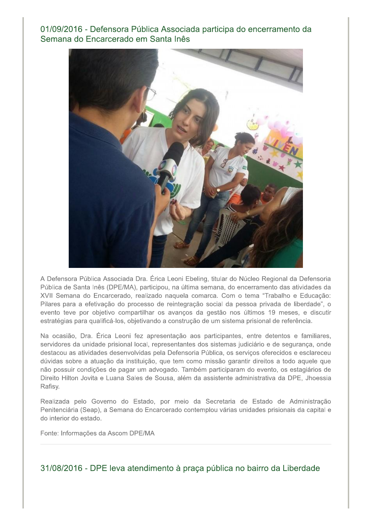# 01/09/2016 - Defensora Pública Associada participa do encerramento da Semana do Encarcerado em Santa Inês



A Defensora Pública Associada Dra. Érica Leoni Ebeling, titular do Núcleo Regional da Defensoria Pública de Santa Inês (DPE/MA), participou, na última semana, do encerramento das atividades da XVII Semana do Encarcerado, realizado naquela comarca. Com o tema "Trabalho e Educação: Pilares para a efetivação do processo de reintegração social da pessoa privada de liberdade", o evento teve por objetivo compartilhar os avanços da gestão nos últimos 19 meses, e discutir estratégias para qualificá-los, objetivando a construção de um sistema prisional de referência.

Na ocasião, Dra. Érica Leoni fez apresentação aos participantes, entre detentos e familiares, servidores da unidade prisional local, representantes dos sistemas judiciário e de segurança, onde destacou as atividades desenvolvidas pela Defensoria Pública, os serviços oferecidos e esclareceu dúvidas sobre a atuação da instituição, que tem como missão garantir direitos a todo aquele que não possuir condições de pagar um advogado. Também participaram do evento, os estagiários de Direito Hilton Jovita e Luana Sales de Sousa, além da assistente administrativa da DPE, Jhoessia Rafisy.

Realizada pelo Governo do Estado, por meio da Secretaria de Estado de Administração Penitenciária (Seap), a Semana do Encarcerado contemplou várias unidades prisionais da capital e do interior do estado.

Fonte: Informações da Ascom DPE/MA

31/08/2016 - DPE leva atendimento à praça pública no bairro da Liberdade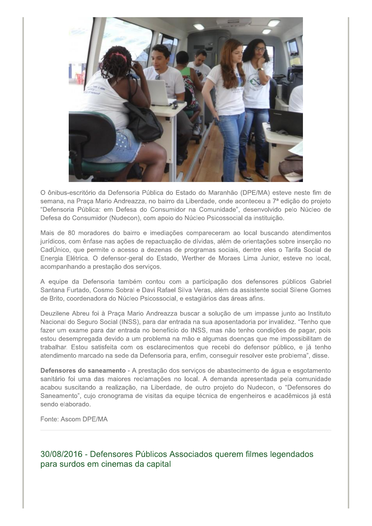

O ônibus-escritório da Defensoria Pública do Estado do Maranhão (DPE/MA) esteve neste fim de semana, na Praça Mario Andreazza, no bairro da Liberdade, onde aconteceu a 7ª edição do projeto "Defensoria Pública: em Defesa do Consumidor na Comunidade", desenvolvido pelo Núcleo de Defesa do Consumidor (Nudecon), com apoio do Núcleo Psicossocial da instituição.

Mais de 80 moradores do bairro e imediações compareceram ao local buscando atendimentos jurídicos, com ênfase nas ações de repactuação de dívidas, além de orientações sobre inserção no CadÚnico, que permite o acesso a dezenas de programas sociais, dentre eles o Tarifa Social de Energia Elétrica. O defensor-geral do Estado, Werther de Moraes Lima Junior, esteve no local, acompanhando a prestação dos serviços.

A equipe da Defensoria também contou com a participação dos defensores públicos Gabriel Santana Furtado, Cosmo Sobral e Davi Rafael Silva Veras, além da assistente social Silene Gomes de Brito, coordenadora do Núcleo Psicossocial, e estagiários das áreas afins.

Deuzilene Abreu foi à Praca Mario Andreazza buscar a solução de um impasse junto ao Instituto Nacional do Seguro Social (INSS), para dar entrada na sua aposentadoria por invalidez. "Tenho que fazer um exame para dar entrada no benefício do INSS, mas não tenho condições de pagar, pois estou desempregada devido a um problema na mão e algumas doenças que me impossibilitam de trabalhar. Estou satisfeita com os esclarecimentos que recebi do defensor público, e já tenho atendimento marcado na sede da Defensoria para, enfim, conseguir resolver este problema", disse.

Defensores do saneamento - A prestação dos serviços de abastecimento de água e esgotamento sanitário foi uma das maiores reclamações no local. A demanda apresentada pela comunidade acabou suscitando a realização, na Liberdade, de outro projeto do Nudecon, o "Defensores do Saneamento", cujo cronograma de visitas da equipe técnica de engenheiros e acadêmicos já está sendo elaborado.

Fonte: Ascom DPE/MA

30/08/2016 - Defensores Públicos Associados querem filmes legendados para surdos em cinemas da capital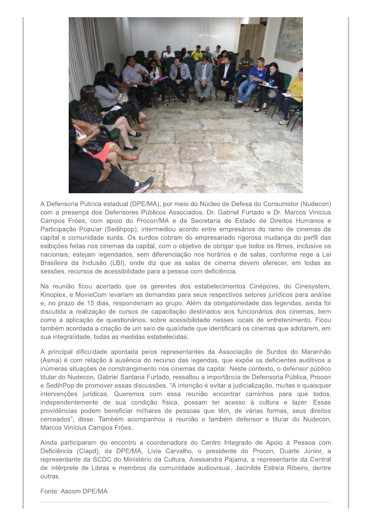

A Defensoria Pública estadual (DPE/MA), por meio do Núcleo de Defesa do Consumidor (Nudecon) com a presença dos Defensores Públicos Associados, Dr. Gabriel Furtado e Dr. Marcos Vinicius Campos Fróes, com apoio do Procon/MA e da Secretaria de Estado de Direitos Humanos e Participação Popular (Sedihpop), intermediou acordo entre empresários do ramo de cinemas da capital e comunidade surda. Os surdos cobram do empresariado rigorosa mudanca do perfil das exibições feitas nos cinemas da capital, com o objetivo de obrigar que todos os filmes, inclusive os nacionais, estejam legendados, sem diferenciação nos horários e de salas, conforme rege a Lei Brasileira da Inclusão (LBI), onde diz que as salas de cinema devem oferecer, em todas as sessões, recursos de acessibilidade para a pessoa com deficiência.

Na reunião ficou acertado que os gerentes dos estabelecimentos Cinépoles, do Cinesystem, Kinoplex, e MovieCom levariam as demandas para seus respectivos setores jurídicos para análise e, no prazo de 15 dias, responderiam ao grupo. Além da obrigatoriedade das legendas, ainda foi discutida a realização de cursos de capacitação destinados aos funcionários dos cinemas, bem como a aplicação de questionários, sobre acessibilidade nesses locais de entretenimento. Ficou também acordada a criação de um selo de qualidade que identificará os cinemas que adotarem, em sua integralidade, todas as medidas estabelecidas.

A principal dificuldade apontada pelos representantes da Associação de Surdos do Maranhão (Asma) é com relação à ausência do recurso das legendas, que expõe os deficientes auditivos a inúmeras situações de constrangimento nos cinemas da capital. Neste contexto, o defensor público titular do Nudecon, Gabriel Santana Furtado, ressaltou a importância de Defensoria Pública, Procon e SedihPop de promover essas discussões. "A intenção é evitar a judicialização, multas e quaisquer intervenções jurídicas. Queremos com essa reunião encontrar caminhos para que todos, independentemente de sua condição física, possam ter acesso à cultura e lazer. Essas providências podem beneficiar milhares de pessoas que têm, de várias formas, seus direitos cerceados", disse. Também acompanhou a reunião o também defensor e titular do Nudecon, Marcos Vinícius Campos Fróes.

Ainda participaram do encontro a coordenadora do Centro Integrado de Apoio à Pessoa com Deficiência (Ciapd), da DPE/MA, Livia Carvalho, o presidente do Procon, Duarte Júnior, a representante da SCDC do Ministério da Cultura, Alessandra Pajama, a representante da Central de Intérprete de Libras e membros da comunidade audiovisual, Jacinilde Estrela Ribeiro, dentre outras.

Fonte: Ascom DPE/MA